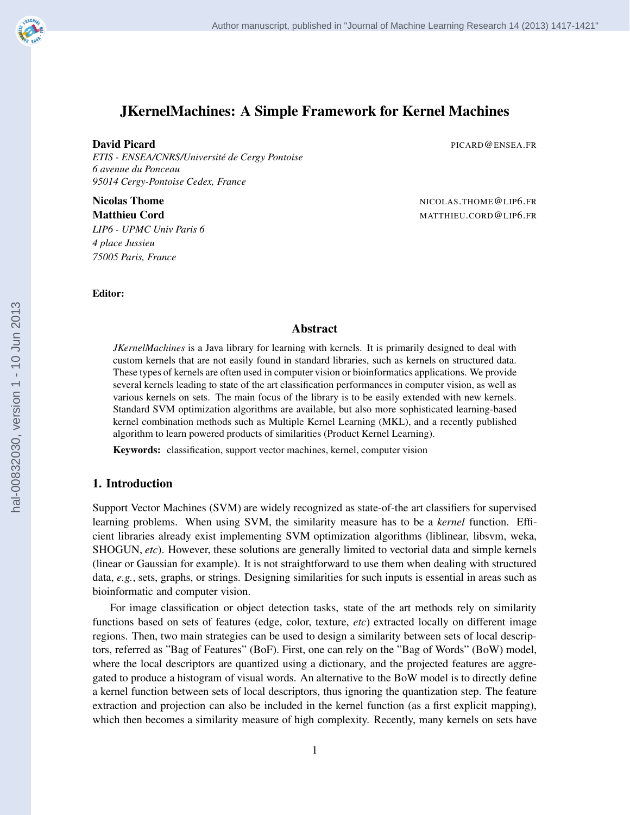

# JKernelMachines: A Simple Framework for Kernel Machines

**David Picard Picard Picard Picard Picard Picard Picard Picard Picard Picard Picard Picard Picard Picard Picard** 

*ETIS - ENSEA/CNRS/Universite de Cergy Pontoise ´ 6 avenue du Ponceau 95014 Cergy-Pontoise Cedex, France*

*LIP6 - UPMC Univ Paris 6 4 place Jussieu 75005 Paris, France*

Nicolas Thome **Nicolas Thome** 2012 **Nicolas Thome 2012 Matthieu Cord** MATTHIEU.CORD@LIP6.FR

Editor:

## Abstract

*JKernelMachines* is a Java library for learning with kernels. It is primarily designed to deal with custom kernels that are not easily found in standard libraries, such as kernels on structured data. These types of kernels are often used in computer vision or bioinformatics applications. We provide several kernels leading to state of the art classification performances in computer vision, as well as various kernels on sets. The main focus of the library is to be easily extended with new kernels. Standard SVM optimization algorithms are available, but also more sophisticated learning-based kernel combination methods such as Multiple Kernel Learning (MKL), and a recently published algorithm to learn powered products of similarities (Product Kernel Learning).

Keywords: classification, support vector machines, kernel, computer vision

## 1. Introduction

Support Vector Machines (SVM) are widely recognized as state-of-the art classifiers for supervised learning problems. When using SVM, the similarity measure has to be a *kernel* function. Efficient libraries already exist implementing SVM optimization algorithms (liblinear, libsvm, weka, SHOGUN, *etc*). However, these solutions are generally limited to vectorial data and simple kernels (linear or Gaussian for example). It is not straightforward to use them when dealing with structured data, *e.g.*, sets, graphs, or strings. Designing similarities for such inputs is essential in areas such as bioinformatic and computer vision.

For image classification or object detection tasks, state of the art methods rely on similarity functions based on sets of features (edge, color, texture, *etc*) extracted locally on different image regions. Then, two main strategies can be used to design a similarity between sets of local descriptors, referred as "Bag of Features" (BoF). First, one can rely on the "Bag of Words" (BoW) model, where the local descriptors are quantized using a dictionary, and the projected features are aggregated to produce a histogram of visual words. An alternative to the BoW model is to directly define a kernel function between sets of local descriptors, thus ignoring the quantization step. The feature extraction and projection can also be included in the kernel function (as a first explicit mapping), which then becomes a similarity measure of high complexity. Recently, many kernels on sets have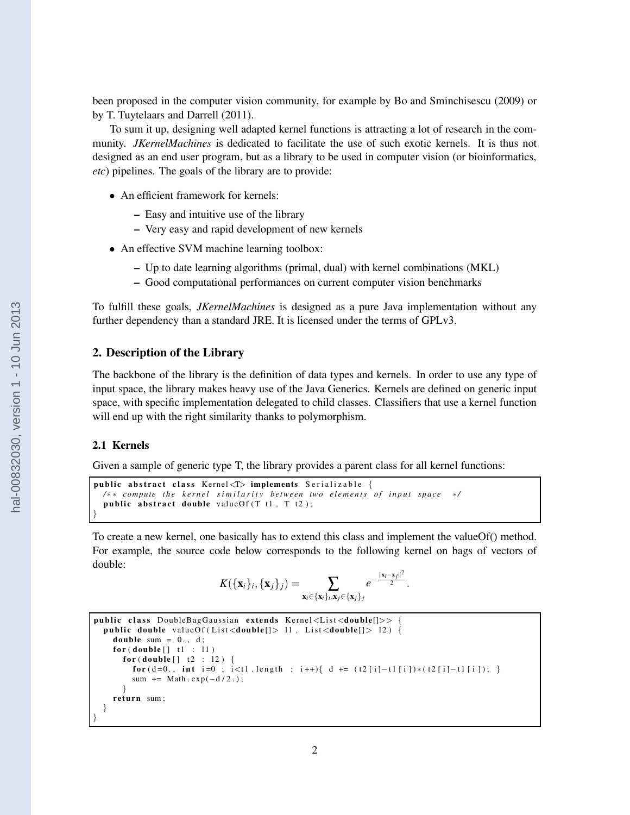been proposed in the computer vision community, for example by Bo and Sminchisescu (2009) or by T. Tuytelaars and Darrell (2011).

To sum it up, designing well adapted kernel functions is attracting a lot of research in the community. *JKernelMachines* is dedicated to facilitate the use of such exotic kernels. It is thus not designed as an end user program, but as a library to be used in computer vision (or bioinformatics, *etc*) pipelines. The goals of the library are to provide:

- An efficient framework for kernels:
	- Easy and intuitive use of the library
	- Very easy and rapid development of new kernels
- An effective SVM machine learning toolbox:
	- Up to date learning algorithms (primal, dual) with kernel combinations (MKL)
	- Good computational performances on current computer vision benchmarks

To fulfill these goals, *JKernelMachines* is designed as a pure Java implementation without any further dependency than a standard JRE. It is licensed under the terms of GPLv3.

### 2. Description of the Library

The backbone of the library is the definition of data types and kernels. In order to use any type of input space, the library makes heavy use of the Java Generics. Kernels are defined on generic input space, with specific implementation delegated to child classes. Classifiers that use a kernel function will end up with the right similarity thanks to polymorphism.

## 2.1 Kernels

Given a sample of generic type T, the library provides a parent class for all kernel functions:

```
public abstract class Kernel\langle T \rangle implements Serializable {
  / ∗ ∗ com p ute t h e k e r n e l s i m i l a r i t y b etw e e n two e l e m e n t s of i n p u t s p a c e ∗ /
  public abstract double valueOf(T t1, T t2);}
```
To create a new kernel, one basically has to extend this class and implement the valueOf() method. For example, the source code below corresponds to the following kernel on bags of vectors of double:

$$
K(\{\mathbf{x}_i\}_i, \{\mathbf{x}_j\}_j) = \sum_{\mathbf{x}_i \in \{\mathbf{x}_i\}_i, \mathbf{x}_j \in \{\mathbf{x}_j\}_j} e^{-\frac{\|\mathbf{x}_i - \mathbf{x}_j\|^2}{2}}.
$$

```
public class DoubleBagGaussian extends Kernel<List<double[]>>
 public double valueOf (List<double []> 11, List <double []> 12) {
   double sum = 0., d;
    for (double[] t1 : 11)for (double [] t2 : 12 ) \{for (d=0., int i=0 ; i<1. length ; i++){ d += (t2[i]-t1[i])*(t2[i]-t1[i]); }
        sum += Math. exp(-d/2.);
      }
    return sum;
 }
}
```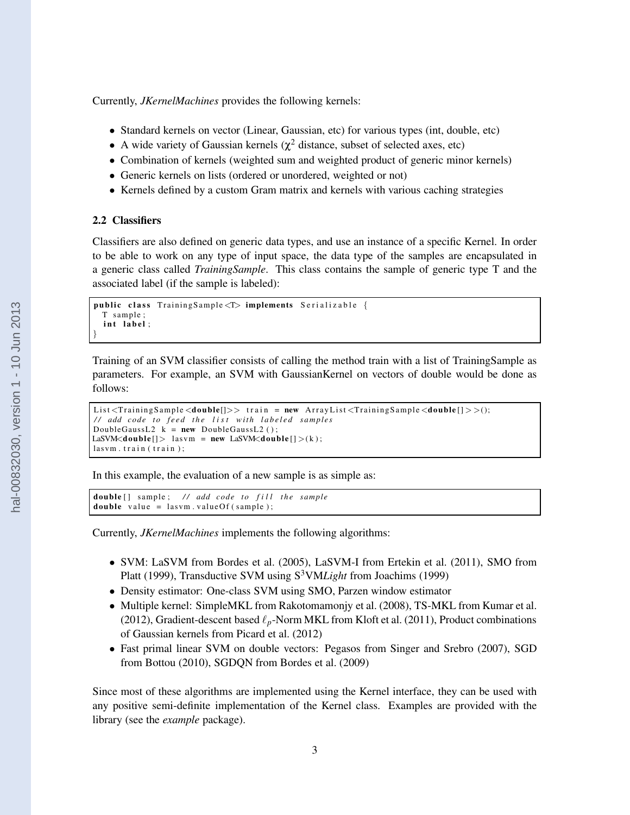Currently, *JKernelMachines* provides the following kernels:

- Standard kernels on vector (Linear, Gaussian, etc) for various types (int, double, etc)
- A wide variety of Gaussian kernels ( $\chi^2$  distance, subset of selected axes, etc)
- Combination of kernels (weighted sum and weighted product of generic minor kernels)
- Generic kernels on lists (ordered or unordered, weighted or not)
- Kernels defined by a custom Gram matrix and kernels with various caching strategies

#### 2.2 Classifiers

Classifiers are also defined on generic data types, and use an instance of a specific Kernel. In order to be able to work on any type of input space, the data type of the samples are encapsulated in a generic class called *TrainingSample*. This class contains the sample of generic type T and the associated label (if the sample is labeled):

```
public class Training Sample <T> implements Serializable {
 T sam ple ;
  int label;
}
```
Training of an SVM classifier consists of calling the method train with a list of TrainingSample as parameters. For example, an SVM with GaussianKernel on vectors of double would be done as follows:

```
List \langleTraining Sample \langledouble|\rangle> train = new Array List \langleTraining Sample \langledouble|\rangle>();
// add code to feed the list with labeled samples
DoubleGaussL2 k = new DoubleGaussL2();
LaSVM<double [] > lasvm = new LaSVM<double [] >(k);
lasvm. train (train);
```
In this example, the evaluation of a new sample is as simple as:

```
double [] sample; // add code to fill the sample
double value = lasym. valueOf (sample);
```
Currently, *JKernelMachines* implements the following algorithms:

- SVM: LaSVM from Bordes et al. (2005), LaSVM-I from Ertekin et al. (2011), SMO from Platt (1999), Transductive SVM using S<sup>3</sup>VM*Light* from Joachims (1999)
- Density estimator: One-class SVM using SMO, Parzen window estimator
- Multiple kernel: SimpleMKL from Rakotomamonjy et al. (2008), TS-MKL from Kumar et al. (2012), Gradient-descent based ℓ*p*-Norm MKL from Kloft et al. (2011), Product combinations of Gaussian kernels from Picard et al. (2012)
- Fast primal linear SVM on double vectors: Pegasos from Singer and Srebro (2007), SGD from Bottou (2010), SGDQN from Bordes et al. (2009)

Since most of these algorithms are implemented using the Kernel interface, they can be used with any positive semi-definite implementation of the Kernel class. Examples are provided with the library (see the *example* package).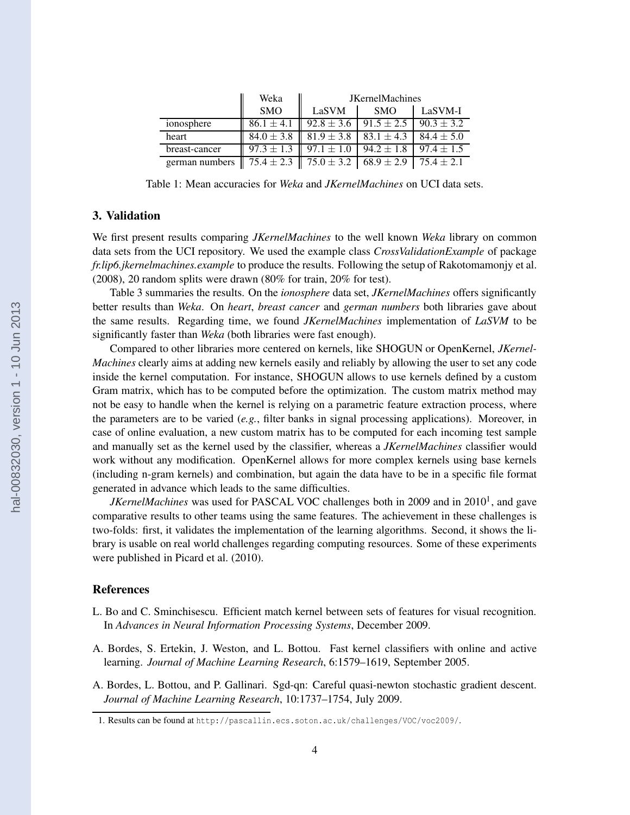|                | Weka           | <b>JKernelMachines</b>        |                |                |
|----------------|----------------|-------------------------------|----------------|----------------|
|                | <b>SMO</b>     | LaSVM                         | <b>SMO</b>     | LaSVM-I        |
| ionosphere     | $86.1 \pm 4.1$ | $92.8 \pm 3.6$                | $91.5 \pm 2.5$ | $90.3 \pm 3.2$ |
| heart          | $84.0 \pm 3.8$ | $81.9 \pm 3.8$                | $83.1 \pm 4.3$ | $84.4 \pm 5.0$ |
| breast-cancer  | $97.3 \pm 1.3$ | $97.1 \pm 1.0$                | $94.2 \pm 1.8$ | $97.4 \pm 1.5$ |
| german numbers |                | $75.4 \pm 2.3$ 75.0 $\pm$ 3.2 | $68.9 \pm 2.9$ | $75.4 \pm 2.1$ |

Table 1: Mean accuracies for *Weka* and *JKernelMachines* on UCI data sets.

# 3. Validation

We first present results comparing *JKernelMachines* to the well known *Weka* library on common data sets from the UCI repository. We used the example class *CrossValidationExample* of package *fr.lip6.jkernelmachines.example* to produce the results. Following the setup of Rakotomamonjy et al. (2008), 20 random splits were drawn (80% for train, 20% for test).

Table 3 summaries the results. On the *ionosphere* data set, *JKernelMachines* offers significantly better results than *Weka*. On *heart*, *breast cancer* and *german numbers* both libraries gave about the same results. Regarding time, we found *JKernelMachines* implementation of *LaSVM* to be significantly faster than *Weka* (both libraries were fast enough).

Compared to other libraries more centered on kernels, like SHOGUN or OpenKernel, *JKernel-Machines* clearly aims at adding new kernels easily and reliably by allowing the user to set any code inside the kernel computation. For instance, SHOGUN allows to use kernels defined by a custom Gram matrix, which has to be computed before the optimization. The custom matrix method may not be easy to handle when the kernel is relying on a parametric feature extraction process, where the parameters are to be varied  $(e.g.,$  filter banks in signal processing applications). Moreover, in case of online evaluation, a new custom matrix has to be computed for each incoming test sample and manually set as the kernel used by the classifier, whereas a *JKernelMachines* classifier would work without any modification. OpenKernel allows for more complex kernels using base kernels (including n-gram kernels) and combination, but again the data have to be in a specific file format generated in advance which leads to the same difficulties.

*JKernelMachines* was used for PASCAL VOC challenges both in 2009 and in 2010<sup>1</sup>, and gave comparative results to other teams using the same features. The achievement in these challenges is two-folds: first, it validates the implementation of the learning algorithms. Second, it shows the library is usable on real world challenges regarding computing resources. Some of these experiments were published in Picard et al. (2010).

#### **References**

- L. Bo and C. Sminchisescu. Efficient match kernel between sets of features for visual recognition. In *Advances in Neural Information Processing Systems*, December 2009.
- A. Bordes, S. Ertekin, J. Weston, and L. Bottou. Fast kernel classifiers with online and active learning. *Journal of Machine Learning Research*, 6:1579–1619, September 2005.
- A. Bordes, L. Bottou, and P. Gallinari. Sgd-qn: Careful quasi-newton stochastic gradient descent. *Journal of Machine Learning Research*, 10:1737–1754, July 2009.

<sup>1.</sup> Results can be found at http://pascallin.ecs.soton.ac.uk/challenges/VOC/voc2009/.